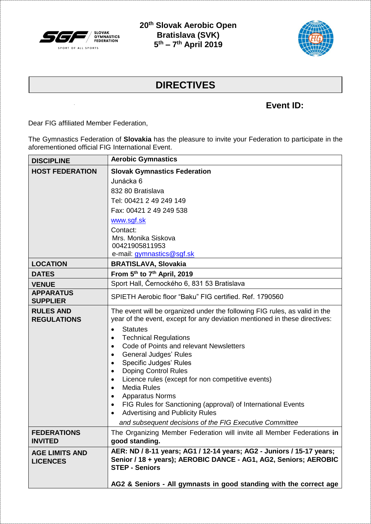

**20th Slovak Aerobic Open Bratislava (SVK) 5 th – 7 th April 2019**



## **DIRECTIVES**

## **Event ID:**

Dear FIG affiliated Member Federation,

The Gymnastics Federation of **Slovakia** has the pleasure to invite your Federation to participate in the aforementioned official FIG International Event.

| <b>DISCIPLINE</b>      | <b>Aerobic Gymnastics</b>                                                                                           |  |  |
|------------------------|---------------------------------------------------------------------------------------------------------------------|--|--|
| <b>HOST FEDERATION</b> | <b>Slovak Gymnastics Federation</b>                                                                                 |  |  |
|                        | Junácka 6                                                                                                           |  |  |
|                        | 832 80 Bratislava                                                                                                   |  |  |
|                        | Tel: 00421 2 49 249 149                                                                                             |  |  |
|                        | Fax: 00421 2 49 249 538                                                                                             |  |  |
|                        | www.sgf.sk                                                                                                          |  |  |
|                        | Contact:                                                                                                            |  |  |
|                        | Mrs. Monika Siskova                                                                                                 |  |  |
|                        | 00421905811953<br>e-mail: gymnastics@sgf.sk                                                                         |  |  |
| <b>LOCATION</b>        | <b>BRATISLAVA, Slovakia</b>                                                                                         |  |  |
| <b>DATES</b>           | From 5th to 7th April, 2019                                                                                         |  |  |
| <b>VENUE</b>           | Sport Hall, Černockého 6, 831 53 Bratislava                                                                         |  |  |
| <b>APPARATUS</b>       | SPIETH Aerobic floor "Baku" FIG certified, Ref. 1790560                                                             |  |  |
| <b>SUPPLIER</b>        |                                                                                                                     |  |  |
| <b>RULES AND</b>       | The event will be organized under the following FIG rules, as valid in the                                          |  |  |
| <b>REGULATIONS</b>     | year of the event, except for any deviation mentioned in these directives:                                          |  |  |
|                        | <b>Statutes</b><br>$\bullet$                                                                                        |  |  |
|                        | <b>Technical Regulations</b><br>$\bullet$<br>Code of Points and relevant Newsletters<br>$\bullet$                   |  |  |
|                        | <b>General Judges' Rules</b><br>$\bullet$                                                                           |  |  |
|                        | Specific Judges' Rules<br>$\bullet$                                                                                 |  |  |
|                        | <b>Doping Control Rules</b><br>$\bullet$                                                                            |  |  |
|                        | Licence rules (except for non competitive events)<br>$\bullet$                                                      |  |  |
|                        | <b>Media Rules</b><br>$\bullet$                                                                                     |  |  |
|                        | <b>Apparatus Norms</b><br>$\bullet$                                                                                 |  |  |
|                        | FIG Rules for Sanctioning (approval) of International Events<br>$\bullet$<br><b>Advertising and Publicity Rules</b> |  |  |
|                        | and subsequent decisions of the FIG Executive Committee                                                             |  |  |
| <b>FEDERATIONS</b>     | The Organizing Member Federation will invite all Member Federations in                                              |  |  |
| <b>INVITED</b>         | good standing.                                                                                                      |  |  |
| <b>AGE LIMITS AND</b>  | AER: ND / 8-11 years; AG1 / 12-14 years; AG2 - Juniors / 15-17 years;                                               |  |  |
| <b>LICENCES</b>        | Senior / 18 + years); AEROBIC DANCE - AG1, AG2, Seniors; AEROBIC                                                    |  |  |
|                        | <b>STEP - Seniors</b>                                                                                               |  |  |
|                        | AG2 & Seniors - All gymnasts in good standing with the correct age                                                  |  |  |
|                        |                                                                                                                     |  |  |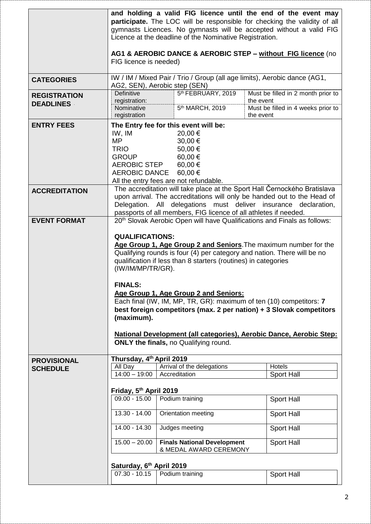|                                         | FIG licence is needed)                                                                                                                                                                                                                                                                                                                                                                                                                                                                                                                                                                                                                                                                             | Licence at the deadline of the Nominative Registration.                                                                                       | and holding a valid FIG licence until the end of the event may<br>participate. The LOC will be responsible for checking the validity of all<br>gymnasts Licences. No gymnasts will be accepted without a valid FIG<br>AG1 & AEROBIC DANCE & AEROBIC STEP - without FIG licence (no |
|-----------------------------------------|----------------------------------------------------------------------------------------------------------------------------------------------------------------------------------------------------------------------------------------------------------------------------------------------------------------------------------------------------------------------------------------------------------------------------------------------------------------------------------------------------------------------------------------------------------------------------------------------------------------------------------------------------------------------------------------------------|-----------------------------------------------------------------------------------------------------------------------------------------------|------------------------------------------------------------------------------------------------------------------------------------------------------------------------------------------------------------------------------------------------------------------------------------|
| <b>CATEGORIES</b>                       | IW / IM / Mixed Pair / Trio / Group (all age limits), Aerobic dance (AG1,<br>AG2, SEN), Aerobic step (SEN)                                                                                                                                                                                                                                                                                                                                                                                                                                                                                                                                                                                         |                                                                                                                                               |                                                                                                                                                                                                                                                                                    |
| <b>REGISTRATION</b><br><b>DEADLINES</b> | <b>Definitive</b><br>registration:<br>Nominative<br>registration                                                                                                                                                                                                                                                                                                                                                                                                                                                                                                                                                                                                                                   | 5th FEBRUARY, 2019<br>5 <sup>th</sup> MARCH, 2019                                                                                             | Must be filled in 2 month prior to<br>the event<br>Must be filled in 4 weeks prior to<br>the event                                                                                                                                                                                 |
| <b>ENTRY FEES</b>                       | IW, IM<br><b>MP</b><br><b>TRIO</b><br><b>GROUP</b><br><b>AEROBIC STEP</b><br>AEROBIC DANCE                                                                                                                                                                                                                                                                                                                                                                                                                                                                                                                                                                                                         | The Entry fee for this event will be:<br>20,00 €<br>30,00 €<br>50,00€<br>60,00€<br>60,00€<br>60,00€<br>All the entry fees are not refundable. |                                                                                                                                                                                                                                                                                    |
| <b>ACCREDITATION</b>                    | The accreditation will take place at the Sport Hall Černockého Bratislava<br>upon arrival. The accreditations will only be handed out to the Head of<br>Delegation. All delegations must deliver insurance declaration,<br>passports of all members, FIG licence of all athletes if needed.                                                                                                                                                                                                                                                                                                                                                                                                        |                                                                                                                                               |                                                                                                                                                                                                                                                                                    |
| <b>EVENT FORMAT</b>                     | 20 <sup>th</sup> Slovak Aerobic Open will have Qualifications and Finals as follows:<br><b>QUALIFICATIONS:</b><br>Age Group 1, Age Group 2 and Seniors. The maximum number for the<br>Qualifying rounds is four (4) per category and nation. There will be no<br>qualification if less than 8 starters (routines) in categories<br>(IW/IM/MP/TR/GR).<br><b>FINALS:</b><br>Age Group 1, Age Group 2 and Seniors:<br>Each final (IW, IM, MP, TR, GR): maximum of ten (10) competitors: 7<br>best foreign competitors (max. 2 per nation) + 3 Slovak competitors<br>(maximum).<br>National Development (all categories), Aerobic Dance, Aerobic Step:<br><b>ONLY the finals, no Qualifying round.</b> |                                                                                                                                               |                                                                                                                                                                                                                                                                                    |
| <b>PROVISIONAL</b>                      | Thursday, 4 <sup>th</sup> April 2019                                                                                                                                                                                                                                                                                                                                                                                                                                                                                                                                                                                                                                                               |                                                                                                                                               |                                                                                                                                                                                                                                                                                    |
| <b>SCHEDULE</b>                         | All Day<br>$14:00 - 19:00$                                                                                                                                                                                                                                                                                                                                                                                                                                                                                                                                                                                                                                                                         | Arrival of the delegations<br>Accreditation                                                                                                   | Hotels<br>Sport Hall                                                                                                                                                                                                                                                               |
|                                         | Friday, 5th April 2019<br>$09.00 - 15.00$<br>13.30 - 14.00<br>14.00 - 14.30<br>$15.00 - 20.00$<br>Saturday, 6th April 2019                                                                                                                                                                                                                                                                                                                                                                                                                                                                                                                                                                         | Podium training<br>Orientation meeting<br>Judges meeting<br><b>Finals National Development</b><br>& MEDAL AWARD CEREMONY                      | Sport Hall<br>Sport Hall<br>Sport Hall<br>Sport Hall                                                                                                                                                                                                                               |
|                                         | $07.30 - 10.15$                                                                                                                                                                                                                                                                                                                                                                                                                                                                                                                                                                                                                                                                                    | Podium training                                                                                                                               | Sport Hall                                                                                                                                                                                                                                                                         |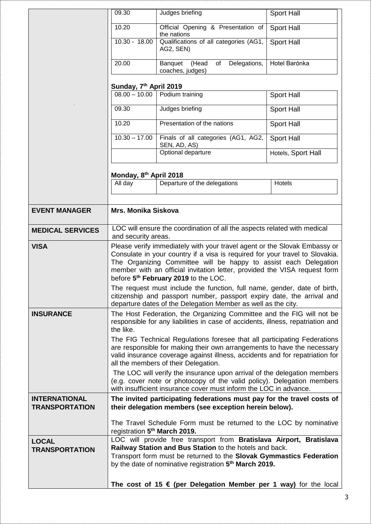|                                               | 09.30                                                                                                                                                                                                                                                                                                                                                                                                                                                | Judges briefing                                                           | Sport Hall         |
|-----------------------------------------------|------------------------------------------------------------------------------------------------------------------------------------------------------------------------------------------------------------------------------------------------------------------------------------------------------------------------------------------------------------------------------------------------------------------------------------------------------|---------------------------------------------------------------------------|--------------------|
|                                               | 10.20                                                                                                                                                                                                                                                                                                                                                                                                                                                | Official Opening & Presentation of<br>the nations                         | Sport Hall         |
|                                               | $10.30 - 18.00$                                                                                                                                                                                                                                                                                                                                                                                                                                      | Qualifications of all categories (AG1,<br>AG2, SEN)                       | <b>Sport Hall</b>  |
|                                               | 20.00                                                                                                                                                                                                                                                                                                                                                                                                                                                | Banquet (Head<br>Delegations,<br>of<br>coaches, judges)                   | Hotel Barónka      |
|                                               |                                                                                                                                                                                                                                                                                                                                                                                                                                                      |                                                                           |                    |
|                                               | Sunday, 7 <sup>th</sup> April 2019                                                                                                                                                                                                                                                                                                                                                                                                                   | $08.00 - 10.00$ Podium training                                           | Sport Hall         |
|                                               | 09.30                                                                                                                                                                                                                                                                                                                                                                                                                                                | Judges briefing                                                           | Sport Hall         |
|                                               | 10.20                                                                                                                                                                                                                                                                                                                                                                                                                                                | Presentation of the nations                                               | Sport Hall         |
|                                               | $10.30 - 17.00$                                                                                                                                                                                                                                                                                                                                                                                                                                      | Finals of all categories (AG1, AG2,                                       | <b>Sport Hall</b>  |
|                                               |                                                                                                                                                                                                                                                                                                                                                                                                                                                      | SEN, AD, AS)<br>Optional departure                                        | Hotels, Sport Hall |
|                                               |                                                                                                                                                                                                                                                                                                                                                                                                                                                      |                                                                           |                    |
|                                               | Monday, 8 <sup>th</sup> April 2018                                                                                                                                                                                                                                                                                                                                                                                                                   |                                                                           |                    |
|                                               | All day                                                                                                                                                                                                                                                                                                                                                                                                                                              | Departure of the delegations                                              | Hotels             |
|                                               |                                                                                                                                                                                                                                                                                                                                                                                                                                                      |                                                                           |                    |
| <b>EVENT MANAGER</b>                          | <b>Mrs. Monika Siskova</b>                                                                                                                                                                                                                                                                                                                                                                                                                           |                                                                           |                    |
| <b>MEDICAL SERVICES</b>                       | LOC will ensure the coordination of all the aspects related with medical<br>and security areas.                                                                                                                                                                                                                                                                                                                                                      |                                                                           |                    |
| <b>VISA</b>                                   | Please verify immediately with your travel agent or the Slovak Embassy or<br>Consulate in your country if a visa is required for your travel to Slovakia.<br>The Organizing Committee will be happy to assist each Delegation<br>member with an official invitation letter, provided the VISA request form<br>before 5 <sup>th</sup> February 2019 to the LOC.                                                                                       |                                                                           |                    |
|                                               | The request must include the function, full name, gender, date of birth,<br>citizenship and passport number, passport expiry date, the arrival and<br>departure dates of the Delegation Member as well as the city.                                                                                                                                                                                                                                  |                                                                           |                    |
| <b>INSURANCE</b>                              | The Host Federation, the Organizing Committee and the FIG will not be<br>responsible for any liabilities in case of accidents, illness, repatriation and<br>the like.<br>The FIG Technical Regulations foresee that all participating Federations<br>are responsible for making their own arrangements to have the necessary<br>valid insurance coverage against illness, accidents and for repatriation for<br>all the members of their Delegation. |                                                                           |                    |
|                                               | The LOC will verify the insurance upon arrival of the delegation members<br>(e.g. cover note or photocopy of the valid policy). Delegation members<br>with insufficient insurance cover must inform the LOC in advance.                                                                                                                                                                                                                              |                                                                           |                    |
| <b>INTERNATIONAL</b><br><b>TRANSPORTATION</b> | The invited participating federations must pay for the travel costs of<br>their delegation members (see exception herein below).                                                                                                                                                                                                                                                                                                                     |                                                                           |                    |
|                                               | The Travel Schedule Form must be returned to the LOC by nominative<br>registration 5 <sup>th</sup> March 2019.                                                                                                                                                                                                                                                                                                                                       |                                                                           |                    |
| <b>LOCAL</b><br><b>TRANSPORTATION</b>         | LOC will provide free transport from Bratislava Airport, Bratislava<br>Railway Station and Bus Station to the hotels and back.<br>Transport form must be returned to the Slovak Gymmastics Federation<br>by the date of nominative registration 5 <sup>th</sup> March 2019.                                                                                                                                                                          |                                                                           |                    |
|                                               |                                                                                                                                                                                                                                                                                                                                                                                                                                                      | The cost of 15 $\epsilon$ (per Delegation Member per 1 way) for the local |                    |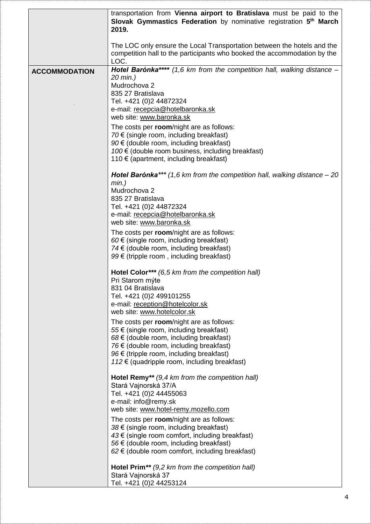|                      | transportation from Vienna airport to Bratislava must be paid to the<br>Slovak Gymmastics Federation by nominative registration 5 <sup>th</sup> March<br>2019.                                                                                                                                                                                                                                                                                                    |
|----------------------|-------------------------------------------------------------------------------------------------------------------------------------------------------------------------------------------------------------------------------------------------------------------------------------------------------------------------------------------------------------------------------------------------------------------------------------------------------------------|
|                      | The LOC only ensure the Local Transportation between the hotels and the<br>competition hall to the participants who booked the accommodation by the<br>LOC.                                                                                                                                                                                                                                                                                                       |
| <b>ACCOMMODATION</b> | Hotel Barónka**** (1,6 km from the competition hall, walking distance -<br>20 min.)<br>Mudrochova 2<br>835 27 Bratislava<br>Tel. +421 (0)2 44872324<br>e-mail: recepcia@hotelbaronka.sk<br>web site: www.baronka.sk<br>The costs per room/night are as follows:<br>70 $\epsilon$ (single room, including breakfast)<br>$90 \in$ (double room, including breakfast)<br>100 € (double room business, including breakfast)<br>110 € (apartment, including breakfast) |
|                      | <b>Hotel Barónka***</b> (1,6 km from the competition hall, walking distance $-20$<br>$min.$ )<br>Mudrochova 2<br>835 27 Bratislava<br>Tel. +421 (0)2 44872324<br>e-mail: recepcia@hotelbaronka.sk<br>web site: www.baronka.sk                                                                                                                                                                                                                                     |
|                      | The costs per room/night are as follows:<br>$60 \in$ (single room, including breakfast)<br>74 € (double room, including breakfast)<br>99 € (tripple room, including breakfast)                                                                                                                                                                                                                                                                                    |
|                      | Hotel Color *** (6,5 km from the competition hall)<br>Pri Starom mýte<br>831 04 Bratislava<br>Tel. +421 (0)2 499101255<br>e-mail: reception@hotelcolor.sk<br>web site: www.hotelcolor.sk                                                                                                                                                                                                                                                                          |
|                      | The costs per room/night are as follows:<br>$55 \in$ (single room, including breakfast)<br>$68 \in$ (double room, including breakfast)<br>76 € (double room, including breakfast)<br>$96 \in$ (tripple room, including breakfast)<br>112 € (quadripple room, including breakfast)                                                                                                                                                                                 |
|                      | Hotel Remy** $(9,4 \text{ km from the competition hall})$<br>Stará Vajnorská 37/A<br>Tel. +421 (0)2 44455063<br>e-mail: info@remy.sk<br>web site: www.hotel-remy.mozello.com                                                                                                                                                                                                                                                                                      |
|                      | The costs per room/night are as follows:<br>$38 \in$ (single room, including breakfast)<br>$43 \in$ (single room comfort, including breakfast)<br>56 € (double room, including breakfast)<br>$62 \in$ (double room comfort, including breakfast)                                                                                                                                                                                                                  |
|                      | <b>Hotel Prim</b> ** $(9,2 \text{ km from the competition hall})$<br>Stará Vajnorská 37<br>Tel. +421 (0)2 44253124                                                                                                                                                                                                                                                                                                                                                |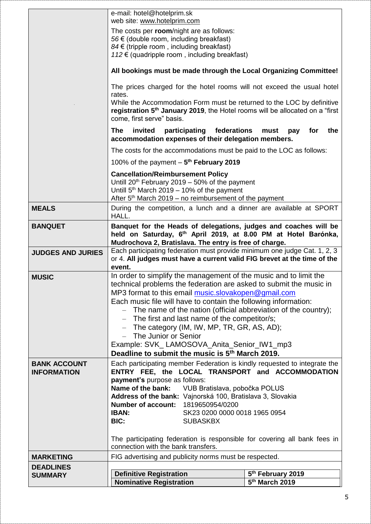|                          | e-mail: hotel@hotelprim.sk<br>web site: www.hotelprim.com                                                                                                                                                                                                               |                |  |
|--------------------------|-------------------------------------------------------------------------------------------------------------------------------------------------------------------------------------------------------------------------------------------------------------------------|----------------|--|
|                          | The costs per room/night are as follows:                                                                                                                                                                                                                                |                |  |
|                          | 56 € (double room, including breakfast)                                                                                                                                                                                                                                 |                |  |
|                          | $84 \in$ (tripple room, including breakfast)<br>112 € (quadripple room, including breakfast)                                                                                                                                                                            |                |  |
|                          |                                                                                                                                                                                                                                                                         |                |  |
|                          | All bookings must be made through the Local Organizing Committee!<br>The prices charged for the hotel rooms will not exceed the usual hotel<br>rates.<br>While the Accommodation Form must be returned to the LOC by definitive                                         |                |  |
|                          |                                                                                                                                                                                                                                                                         |                |  |
|                          |                                                                                                                                                                                                                                                                         |                |  |
|                          | registration 5 <sup>th</sup> January 2019, the Hotel rooms will be allocated on a "first                                                                                                                                                                                |                |  |
|                          | come, first serve" basis.                                                                                                                                                                                                                                               |                |  |
|                          | invited participating federations<br>The<br>the<br>must<br>pay<br>for<br>accommodation expenses of their delegation members.                                                                                                                                            |                |  |
|                          | The costs for the accommodations must be paid to the LOC as follows:                                                                                                                                                                                                    |                |  |
|                          | 100% of the payment $-5$ <sup>th</sup> February 2019                                                                                                                                                                                                                    |                |  |
|                          | <b>Cancellation/Reimbursement Policy</b>                                                                                                                                                                                                                                |                |  |
|                          | Untill 20 <sup>th</sup> February 2019 - 50% of the payment<br>Untill $5th$ March 2019 – 10% of the payment                                                                                                                                                              |                |  |
|                          | After $5th$ March 2019 – no reimbursement of the payment                                                                                                                                                                                                                |                |  |
| <b>MEALS</b>             | During the competition, a lunch and a dinner are available at SPORT<br>HALL.                                                                                                                                                                                            |                |  |
| <b>BANQUET</b>           | Banquet for the Heads of delegations, judges and coaches will be                                                                                                                                                                                                        |                |  |
|                          | held on Saturday, 6 <sup>th</sup> April 2019, at 8.00 PM at Hotel Barónka,                                                                                                                                                                                              |                |  |
| <b>JUDGES AND JURIES</b> | Mudrochova 2, Bratislava. The entry is free of charge.<br>Each participating federation must provide minimum one judge Cat. 1, 2, 3                                                                                                                                     |                |  |
|                          | or 4. All judges must have a current valid FIG brevet at the time of the                                                                                                                                                                                                |                |  |
|                          | event.                                                                                                                                                                                                                                                                  |                |  |
| <b>MUSIC</b>             | In order to simplify the management of the music and to limit the<br>technical problems the federation are asked to submit the music in                                                                                                                                 |                |  |
|                          | MP3 format to this email music.slovakopen@gmail.com                                                                                                                                                                                                                     |                |  |
|                          | Each music file will have to contain the following information:                                                                                                                                                                                                         |                |  |
|                          | The name of the nation (official abbreviation of the country);                                                                                                                                                                                                          |                |  |
|                          | $-$ The first and last name of the competitor/s;<br>- The category (IM, IW, MP, TR, GR, AS, AD);                                                                                                                                                                        |                |  |
|                          | - The Junior or Senior                                                                                                                                                                                                                                                  |                |  |
|                          | Example: SVK_LAMOSOVA_Anita_Senior_IW1_mp3                                                                                                                                                                                                                              |                |  |
|                          | Deadline to submit the music is 5 <sup>th</sup> March 2019.                                                                                                                                                                                                             |                |  |
| <b>BANK ACCOUNT</b>      | Each participating member Federation is kindly requested to integrate the                                                                                                                                                                                               |                |  |
| <b>INFORMATION</b>       | ENTRY FEE, the LOCAL TRANSPORT and ACCOMMODATION                                                                                                                                                                                                                        |                |  |
|                          | payment's purpose as follows:<br>Name of the bank: VUB Bratislava, pobočka POLUS<br>Address of the bank: Vajnorská 100, Bratislava 3, Slovakia<br><b>Number of account: 1819650954/0200</b><br><b>IBAN:</b><br>SK23 0200 0000 0018 1965 0954<br>BIC:<br><b>SUBASKBX</b> |                |  |
|                          |                                                                                                                                                                                                                                                                         |                |  |
|                          |                                                                                                                                                                                                                                                                         |                |  |
|                          |                                                                                                                                                                                                                                                                         |                |  |
|                          |                                                                                                                                                                                                                                                                         |                |  |
|                          | The participating federation is responsible for covering all bank fees in<br>connection with the bank transfers.                                                                                                                                                        |                |  |
| <b>MARKETING</b>         | FIG advertising and publicity norms must be respected.                                                                                                                                                                                                                  |                |  |
| <b>DEADLINES</b>         |                                                                                                                                                                                                                                                                         |                |  |
| <b>SUMMARY</b>           | <b>Definitive Registration</b><br>5 <sup>th</sup> February 2019                                                                                                                                                                                                         |                |  |
|                          | <b>Nominative Registration</b>                                                                                                                                                                                                                                          | 5th March 2019 |  |